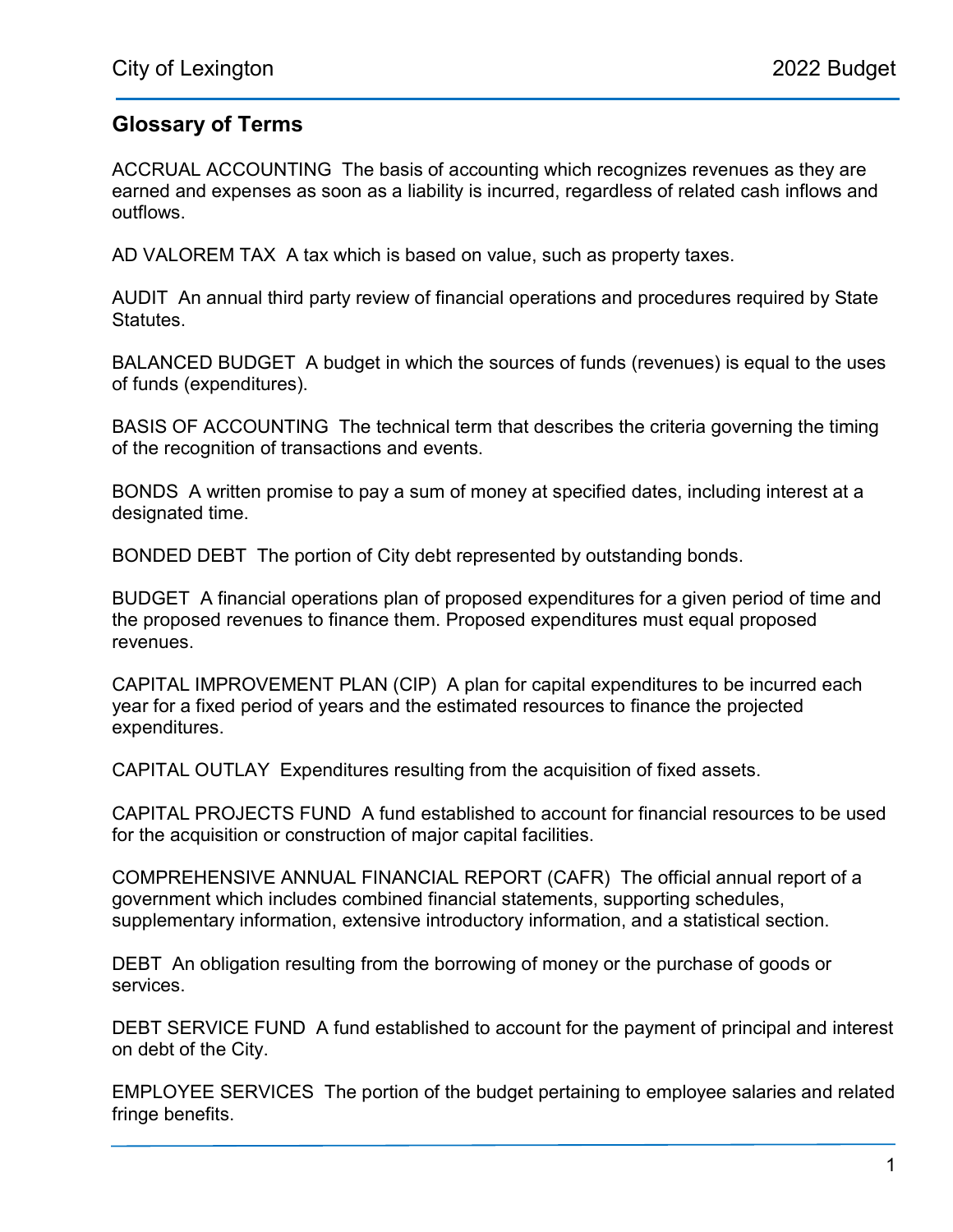## Glossary of Terms

ACCRUAL ACCOUNTING The basis of accounting which recognizes revenues as they are earned and expenses as soon as a liability is incurred, regardless of related cash inflows and outflows.

AD VALOREM TAX A tax which is based on value, such as property taxes.

AUDIT An annual third party review of financial operations and procedures required by State Statutes.

BALANCED BUDGET A budget in which the sources of funds (revenues) is equal to the uses of funds (expenditures).

BASIS OF ACCOUNTING The technical term that describes the criteria governing the timing of the recognition of transactions and events.

BONDS A written promise to pay a sum of money at specified dates, including interest at a designated time.

BONDED DEBT The portion of City debt represented by outstanding bonds.

BUDGET A financial operations plan of proposed expenditures for a given period of time and the proposed revenues to finance them. Proposed expenditures must equal proposed revenues.

CAPITAL IMPROVEMENT PLAN (CIP) A plan for capital expenditures to be incurred each year for a fixed period of years and the estimated resources to finance the projected expenditures.

CAPITAL OUTLAY Expenditures resulting from the acquisition of fixed assets.

CAPITAL PROJECTS FUND A fund established to account for financial resources to be used for the acquisition or construction of major capital facilities.

COMPREHENSIVE ANNUAL FINANCIAL REPORT (CAFR) The official annual report of a government which includes combined financial statements, supporting schedules, supplementary information, extensive introductory information, and a statistical section.

DEBT An obligation resulting from the borrowing of money or the purchase of goods or services.

DEBT SERVICE FUND A fund established to account for the payment of principal and interest on debt of the City.

EMPLOYEE SERVICES The portion of the budget pertaining to employee salaries and related fringe benefits.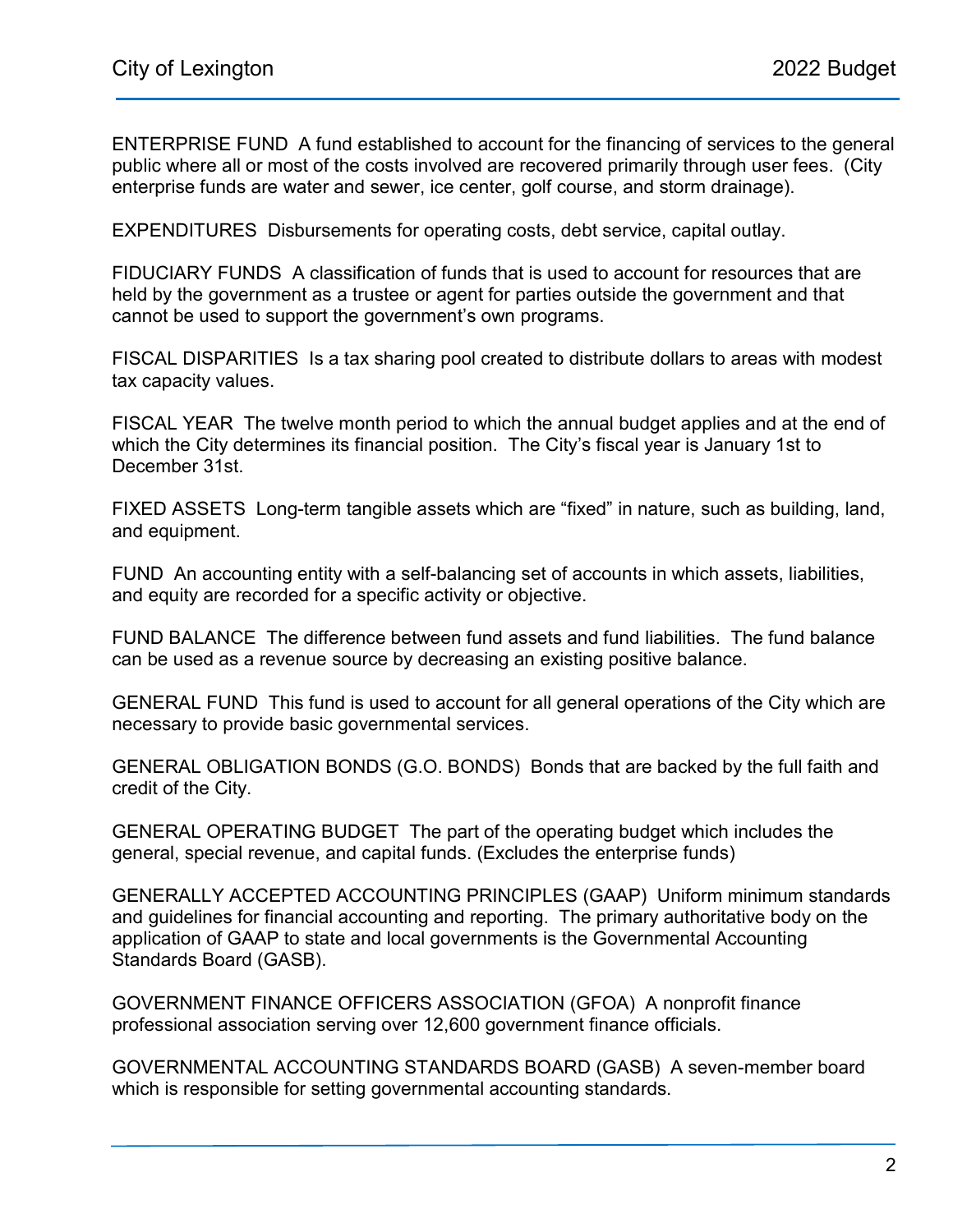ENTERPRISE FUND A fund established to account for the financing of services to the general public where all or most of the costs involved are recovered primarily through user fees. (City enterprise funds are water and sewer, ice center, golf course, and storm drainage).

EXPENDITURES Disbursements for operating costs, debt service, capital outlay.

FIDUCIARY FUNDS A classification of funds that is used to account for resources that are held by the government as a trustee or agent for parties outside the government and that cannot be used to support the government's own programs.

FISCAL DISPARITIES Is a tax sharing pool created to distribute dollars to areas with modest tax capacity values.

FISCAL YEAR The twelve month period to which the annual budget applies and at the end of which the City determines its financial position. The City's fiscal year is January 1st to December 31st.

FIXED ASSETS Long-term tangible assets which are "fixed" in nature, such as building, land, and equipment.

FUND An accounting entity with a self-balancing set of accounts in which assets, liabilities, and equity are recorded for a specific activity or objective.

FUND BALANCE The difference between fund assets and fund liabilities. The fund balance can be used as a revenue source by decreasing an existing positive balance.

GENERAL FUND This fund is used to account for all general operations of the City which are necessary to provide basic governmental services.

GENERAL OBLIGATION BONDS (G.O. BONDS) Bonds that are backed by the full faith and credit of the City.

GENERAL OPERATING BUDGET The part of the operating budget which includes the general, special revenue, and capital funds. (Excludes the enterprise funds)

GENERALLY ACCEPTED ACCOUNTING PRINCIPLES (GAAP) Uniform minimum standards and guidelines for financial accounting and reporting. The primary authoritative body on the application of GAAP to state and local governments is the Governmental Accounting Standards Board (GASB).

GOVERNMENT FINANCE OFFICERS ASSOCIATION (GFOA) A nonprofit finance professional association serving over 12,600 government finance officials.

GOVERNMENTAL ACCOUNTING STANDARDS BOARD (GASB) A seven-member board which is responsible for setting governmental accounting standards.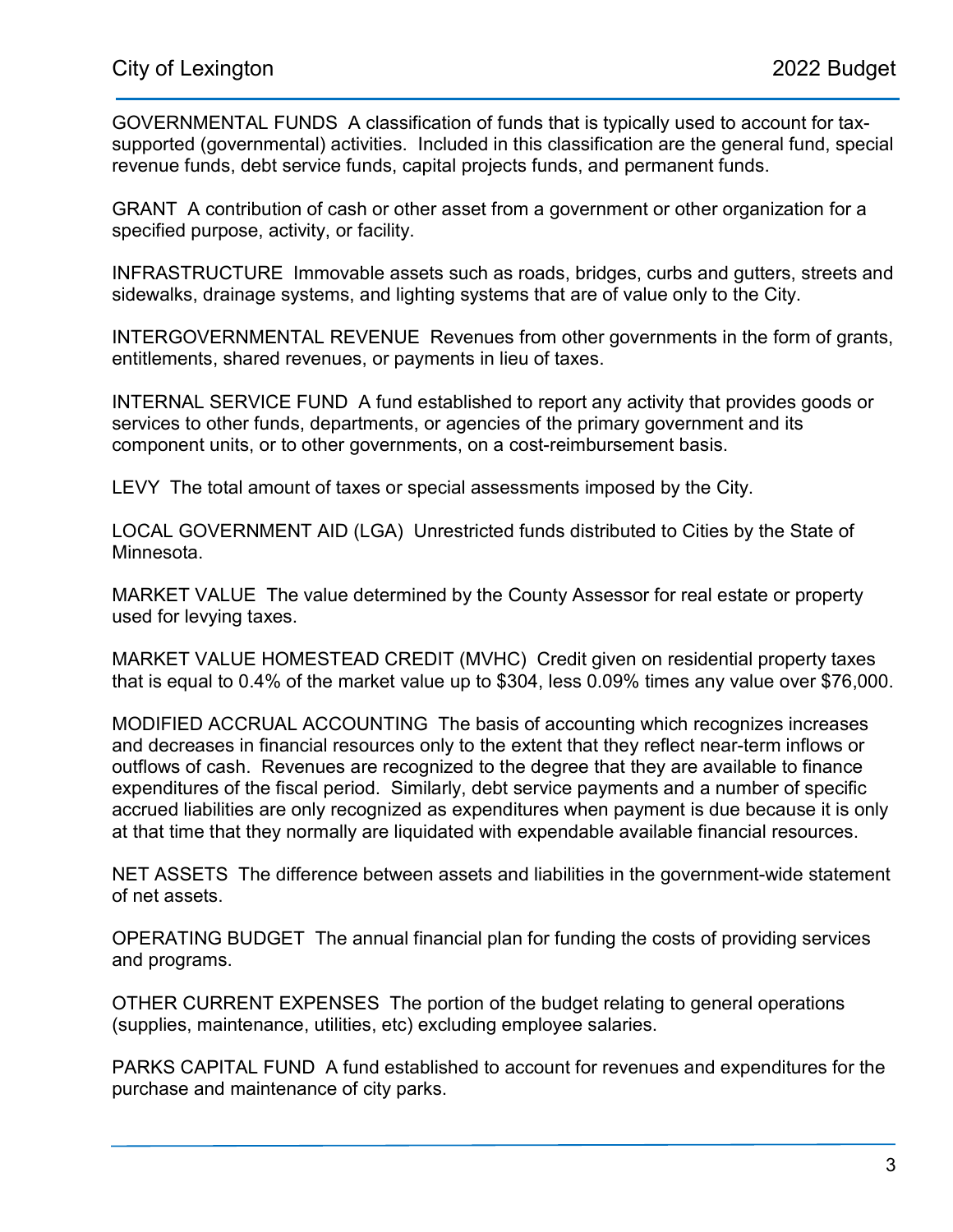GOVERNMENTAL FUNDS A classification of funds that is typically used to account for taxsupported (governmental) activities. Included in this classification are the general fund, special revenue funds, debt service funds, capital projects funds, and permanent funds.

GRANT A contribution of cash or other asset from a government or other organization for a specified purpose, activity, or facility.

INFRASTRUCTURE Immovable assets such as roads, bridges, curbs and gutters, streets and sidewalks, drainage systems, and lighting systems that are of value only to the City.

INTERGOVERNMENTAL REVENUE Revenues from other governments in the form of grants, entitlements, shared revenues, or payments in lieu of taxes.

INTERNAL SERVICE FUND A fund established to report any activity that provides goods or services to other funds, departments, or agencies of the primary government and its component units, or to other governments, on a cost-reimbursement basis.

LEVY The total amount of taxes or special assessments imposed by the City.

LOCAL GOVERNMENT AID (LGA) Unrestricted funds distributed to Cities by the State of Minnesota.

MARKET VALUE The value determined by the County Assessor for real estate or property used for levying taxes.

MARKET VALUE HOMESTEAD CREDIT (MVHC) Credit given on residential property taxes that is equal to 0.4% of the market value up to \$304, less 0.09% times any value over \$76,000.

MODIFIED ACCRUAL ACCOUNTING The basis of accounting which recognizes increases and decreases in financial resources only to the extent that they reflect near-term inflows or outflows of cash. Revenues are recognized to the degree that they are available to finance expenditures of the fiscal period. Similarly, debt service payments and a number of specific accrued liabilities are only recognized as expenditures when payment is due because it is only at that time that they normally are liquidated with expendable available financial resources.

NET ASSETS The difference between assets and liabilities in the government-wide statement of net assets.

OPERATING BUDGET The annual financial plan for funding the costs of providing services and programs.

OTHER CURRENT EXPENSES The portion of the budget relating to general operations (supplies, maintenance, utilities, etc) excluding employee salaries.

PARKS CAPITAL FUND A fund established to account for revenues and expenditures for the purchase and maintenance of city parks.